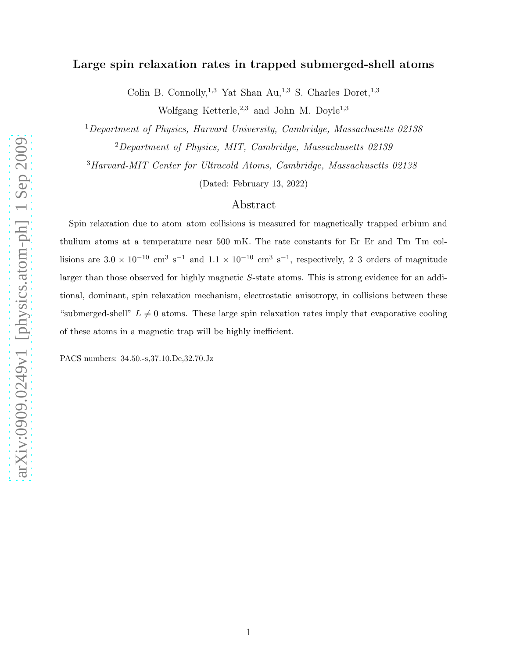## Large spin relaxation rates in trapped submerged-shell atoms

Colin B. Connolly,<sup>1,3</sup> Yat Shan Au,<sup>1,3</sup> S. Charles Doret,<sup>1,3</sup> Wolfgang Ketterle,  $2,3$  and John M. Doyle<sup>1,3</sup>

<sup>1</sup>Department of Physics, Harvard University, Cambridge, Massachusetts 02138

 $2$ Department of Physics, MIT, Cambridge, Massachusetts 02139

<sup>3</sup>Harvard-MIT Center for Ultracold Atoms, Cambridge, Massachusetts 02138

(Dated: February 13, 2022)

## Abstract

Spin relaxation due to atom–atom collisions is measured for magnetically trapped erbium and thulium atoms at a temperature near 500 mK. The rate constants for Er–Er and Tm–Tm collisions are  $3.0 \times 10^{-10}$  cm<sup>3</sup> s<sup>-1</sup> and  $1.1 \times 10^{-10}$  cm<sup>3</sup> s<sup>-1</sup>, respectively, 2-3 orders of magnitude larger than those observed for highly magnetic S-state atoms. This is strong evidence for an additional, dominant, spin relaxation mechanism, electrostatic anisotropy, in collisions between these "submerged-shell"  $L \neq 0$  atoms. These large spin relaxation rates imply that evaporative cooling of these atoms in a magnetic trap will be highly inefficient.

PACS numbers: 34.50.-s,37.10.De,32.70.Jz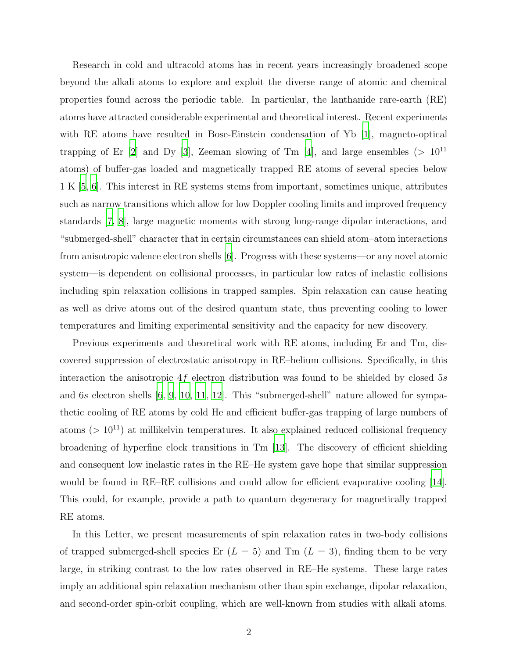Research in cold and ultracold atoms has in recent years increasingly broadened scope beyond the alkali atoms to explore and exploit the diverse range of atomic and chemical properties found across the periodic table. In particular, the lanthanide rare-earth (RE) atoms have attracted considerable experimental and theoretical interest. Recent experiments with RE atoms have resulted in Bose-Einstein condensation of Yb [\[1\]](#page-6-0), magneto-optical trapping of Er  $[2]$  and Dy  $[3]$ , Zeeman slowing of Tm  $[4]$ , and large ensembles (>  $10^{11}$ ) atoms) of buffer-gas loaded and magnetically trapped RE atoms of several species below 1 K [\[5](#page-6-4), [6](#page-6-5)]. This interest in RE systems stems from important, sometimes unique, attributes such as narrow transitions which allow for low Doppler cooling limits and improved frequency standards [\[7](#page-6-6), [8\]](#page-6-7), large magnetic moments with strong long-range dipolar interactions, and "submerged-shell" character that in certain circumstances can shield atom–atom interactions from anisotropic valence electron shells [\[6\]](#page-6-5). Progress with these systems—or any novel atomic system—is dependent on collisional processes, in particular low rates of inelastic collisions including spin relaxation collisions in trapped samples. Spin relaxation can cause heating as well as drive atoms out of the desired quantum state, thus preventing cooling to lower temperatures and limiting experimental sensitivity and the capacity for new discovery.

Previous experiments and theoretical work with RE atoms, including Er and Tm, discovered suppression of electrostatic anisotropy in RE–helium collisions. Specifically, in this interaction the anisotropic  $4f$  electron distribution was found to be shielded by closed 5s and 6s electron shells [\[6,](#page-6-5) [9](#page-6-8), [10,](#page-6-9) [11,](#page-6-10) [12\]](#page-6-11). This "submerged-shell" nature allowed for sympathetic cooling of RE atoms by cold He and efficient buffer-gas trapping of large numbers of atoms ( $> 10^{11}$ ) at millikelvin temperatures. It also explained reduced collisional frequency broadening of hyperfine clock transitions in Tm [\[13\]](#page-6-12). The discovery of efficient shielding and consequent low inelastic rates in the RE–He system gave hope that similar suppression would be found in RE–RE collisions and could allow for efficient evaporative cooling [\[14\]](#page-6-13). This could, for example, provide a path to quantum degeneracy for magnetically trapped RE atoms.

In this Letter, we present measurements of spin relaxation rates in two-body collisions of trapped submerged-shell species Er  $(L = 5)$  and Tm  $(L = 3)$ , finding them to be very large, in striking contrast to the low rates observed in RE–He systems. These large rates imply an additional spin relaxation mechanism other than spin exchange, dipolar relaxation, and second-order spin-orbit coupling, which are well-known from studies with alkali atoms.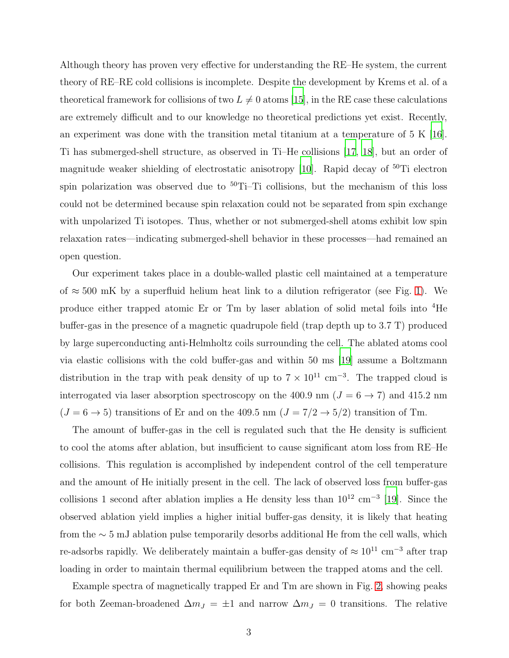Although theory has proven very effective for understanding the RE–He system, the current theory of RE–RE cold collisions is incomplete. Despite the development by Krems et al. of a theoretical framework for collisions of two  $L \neq 0$  atoms [\[15\]](#page-6-14), in the RE case these calculations are extremely difficult and to our knowledge no theoretical predictions yet exist. Recently, an experiment was done with the transition metal titanium at a temperature of  $5 \text{ K } [16]$  $5 \text{ K } [16]$ . Ti has submerged-shell structure, as observed in Ti–He collisions [\[17](#page-6-16), [18\]](#page-7-0), but an order of magnitude weaker shielding of electrostatic anisotropy [\[10\]](#page-6-9). Rapid decay of <sup>50</sup>Ti electron spin polarization was observed due to  $50$ Ti–Ti collisions, but the mechanism of this loss could not be determined because spin relaxation could not be separated from spin exchange with unpolarized Ti isotopes. Thus, whether or not submerged-shell atoms exhibit low spin relaxation rates—indicating submerged-shell behavior in these processes—had remained an open question.

Our experiment takes place in a double-walled plastic cell maintained at a temperature of  $\approx$  500 mK by a superfluid helium heat link to a dilution refrigerator (see Fig. [1\)](#page-8-0). We produce either trapped atomic Er or Tm by laser ablation of solid metal foils into <sup>4</sup>He buffer-gas in the presence of a magnetic quadrupole field (trap depth up to 3.7 T) produced by large superconducting anti-Helmholtz coils surrounding the cell. The ablated atoms cool via elastic collisions with the cold buffer-gas and within 50 ms [\[19\]](#page-7-1) assume a Boltzmann distribution in the trap with peak density of up to  $7 \times 10^{11}$  cm<sup>-3</sup>. The trapped cloud is interrogated via laser absorption spectroscopy on the 400.9 nm ( $J = 6 \rightarrow 7$ ) and 415.2 nm  $(J=6\rightarrow5)$  transitions of Er and on the 409.5 nm  $(J=7/2\rightarrow5/2)$  transition of Tm.

The amount of buffer-gas in the cell is regulated such that the He density is sufficient to cool the atoms after ablation, but insufficient to cause significant atom loss from RE–He collisions. This regulation is accomplished by independent control of the cell temperature and the amount of He initially present in the cell. The lack of observed loss from buffer-gas collisions 1 second after ablation implies a He density less than  $10^{12}$  cm<sup>-3</sup> [\[19](#page-7-1)]. Since the observed ablation yield implies a higher initial buffer-gas density, it is likely that heating from the ∼ 5 mJ ablation pulse temporarily desorbs additional He from the cell walls, which re-adsorbs rapidly. We deliberately maintain a buffer-gas density of  $\approx 10^{11}$  cm<sup>-3</sup> after trap loading in order to maintain thermal equilibrium between the trapped atoms and the cell.

Example spectra of magnetically trapped Er and Tm are shown in Fig. [2,](#page-9-0) showing peaks for both Zeeman-broadened  $\Delta m_J = \pm 1$  and narrow  $\Delta m_J = 0$  transitions. The relative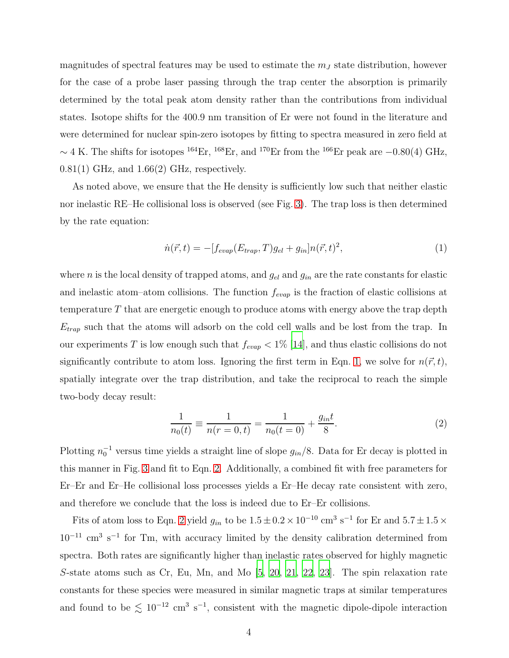magnitudes of spectral features may be used to estimate the  $m<sub>J</sub>$  state distribution, however for the case of a probe laser passing through the trap center the absorption is primarily determined by the total peak atom density rather than the contributions from individual states. Isotope shifts for the 400.9 nm transition of Er were not found in the literature and were determined for nuclear spin-zero isotopes by fitting to spectra measured in zero field at  $\sim$  4 K. The shifts for isotopes <sup>164</sup>Er, <sup>168</sup>Er, and <sup>170</sup>Er from the <sup>166</sup>Er peak are −0.80(4) GHz,  $0.81(1)$  GHz, and  $1.66(2)$  GHz, respectively.

As noted above, we ensure that the He density is sufficiently low such that neither elastic nor inelastic RE–He collisional loss is observed (see Fig. [3\)](#page-9-1). The trap loss is then determined by the rate equation:

<span id="page-3-0"></span>
$$
\dot{n}(\vec{r},t) = -[f_{evap}(E_{trap},T)g_{el} + g_{in}]n(\vec{r},t)^2,
$$
\n(1)

where *n* is the local density of trapped atoms, and  $g_{el}$  and  $g_{in}$  are the rate constants for elastic and inelastic atom–atom collisions. The function  $f_{evap}$  is the fraction of elastic collisions at temperature T that are energetic enough to produce atoms with energy above the trap depth  $E_{trap}$  such that the atoms will adsorb on the cold cell walls and be lost from the trap. In our experiments T is low enough such that  $f_{evap} < 1\%$  [\[14](#page-6-13)], and thus elastic collisions do not significantly contribute to atom loss. Ignoring the first term in Eqn. [1,](#page-3-0) we solve for  $n(\vec{r}, t)$ , spatially integrate over the trap distribution, and take the reciprocal to reach the simple two-body decay result:

<span id="page-3-1"></span>
$$
\frac{1}{n_0(t)} \equiv \frac{1}{n(r=0,t)} = \frac{1}{n_0(t=0)} + \frac{g_{in}t}{8}.
$$
\n(2)

Plotting  $n_0^{-1}$  versus time yields a straight line of slope  $g_{in}/8$ . Data for Er decay is plotted in this manner in Fig. [3](#page-9-1) and fit to Eqn. [2.](#page-3-1) Additionally, a combined fit with free parameters for Er–Er and Er–He collisional loss processes yields a Er–He decay rate consistent with zero, and therefore we conclude that the loss is indeed due to Er–Er collisions.

Fits of atom loss to Eqn. [2](#page-3-1) yield  $g_{in}$  to be  $1.5 \pm 0.2 \times 10^{-10}$  cm<sup>3</sup> s<sup>-1</sup> for Er and  $5.7 \pm 1.5 \times$  $10^{-11}$  cm<sup>3</sup> s<sup>-1</sup> for Tm, with accuracy limited by the density calibration determined from spectra. Both rates are significantly higher than inelastic rates observed for highly magnetic S-state atoms such as Cr, Eu, Mn, and Mo [\[5](#page-6-4), [20](#page-7-2), [21](#page-7-3), [22](#page-7-4), [23\]](#page-7-5). The spin relaxation rate constants for these species were measured in similar magnetic traps at similar temperatures and found to be  $\lesssim 10^{-12}$  cm<sup>3</sup> s<sup>-1</sup>, consistent with the magnetic dipole-dipole interaction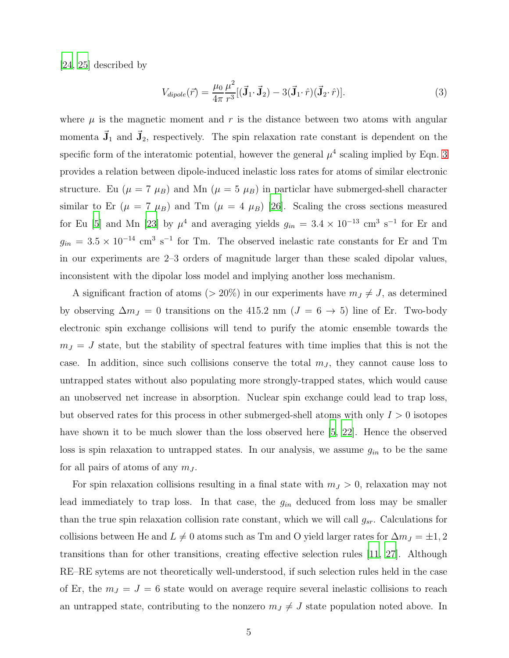[\[24,](#page-7-6) [25\]](#page-7-7) described by

<span id="page-4-0"></span>
$$
V_{dipole}(\vec{r}) = \frac{\mu_0}{4\pi} \frac{\mu^2}{r^3} [(\vec{\mathbf{J}}_1 \cdot \vec{\mathbf{J}}_2) - 3(\vec{\mathbf{J}}_1 \cdot \hat{r})(\vec{\mathbf{J}}_2 \cdot \hat{r})]. \tag{3}
$$

where  $\mu$  is the magnetic moment and r is the distance between two atoms with angular momenta  $\vec{J}_1$  and  $\vec{J}_2$ , respectively. The spin relaxation rate constant is dependent on the specific form of the interatomic potential, however the general  $\mu^4$  scaling implied by Eqn. [3](#page-4-0) provides a relation between dipole-induced inelastic loss rates for atoms of similar electronic structure. Eu ( $\mu = 7 \mu_B$ ) and Mn ( $\mu = 5 \mu_B$ ) in particlar have submerged-shell character similar to Er  $(\mu = 7 \mu_B)$  and Tm  $(\mu = 4 \mu_B)$  [\[26\]](#page-7-8). Scaling the cross sections measured for Eu [\[5](#page-6-4)] and Mn [\[23](#page-7-5)] by  $\mu^4$  and averaging yields  $g_{in} = 3.4 \times 10^{-13}$  cm<sup>3</sup> s<sup>-1</sup> for Er and  $g_{in} = 3.5 \times 10^{-14}$  cm<sup>3</sup> s<sup>-1</sup> for Tm. The observed inelastic rate constants for Er and Tm in our experiments are 2–3 orders of magnitude larger than these scaled dipolar values, inconsistent with the dipolar loss model and implying another loss mechanism.

A significant fraction of atoms ( $> 20\%$ ) in our experiments have  $m_J \neq J$ , as determined by observing  $\Delta m_J = 0$  transitions on the 415.2 nm  $(J = 6 \rightarrow 5)$  line of Er. Two-body electronic spin exchange collisions will tend to purify the atomic ensemble towards the  $m_J = J$  state, but the stability of spectral features with time implies that this is not the case. In addition, since such collisions conserve the total  $m<sub>J</sub>$ , they cannot cause loss to untrapped states without also populating more strongly-trapped states, which would cause an unobserved net increase in absorption. Nuclear spin exchange could lead to trap loss, but observed rates for this process in other submerged-shell atoms with only  $I > 0$  isotopes have shown it to be much slower than the loss observed here [\[5,](#page-6-4) [22\]](#page-7-4). Hence the observed loss is spin relaxation to untrapped states. In our analysis, we assume  $g_{in}$  to be the same for all pairs of atoms of any  $m<sub>J</sub>$ .

For spin relaxation collisions resulting in a final state with  $m_J > 0$ , relaxation may not lead immediately to trap loss. In that case, the  $g_{in}$  deduced from loss may be smaller than the true spin relaxation collision rate constant, which we will call  $g_{sr}$ . Calculations for collisions between He and  $L \neq 0$  atoms such as Tm and O yield larger rates for  $\Delta m_J = \pm 1, 2$ transitions than for other transitions, creating effective selection rules [\[11](#page-6-10), [27](#page-7-9)]. Although RE–RE sytems are not theoretically well-understood, if such selection rules held in the case of Er, the  $m_J = J = 6$  state would on average require several inelastic collisions to reach an untrapped state, contributing to the nonzero  $m_J \neq J$  state population noted above. In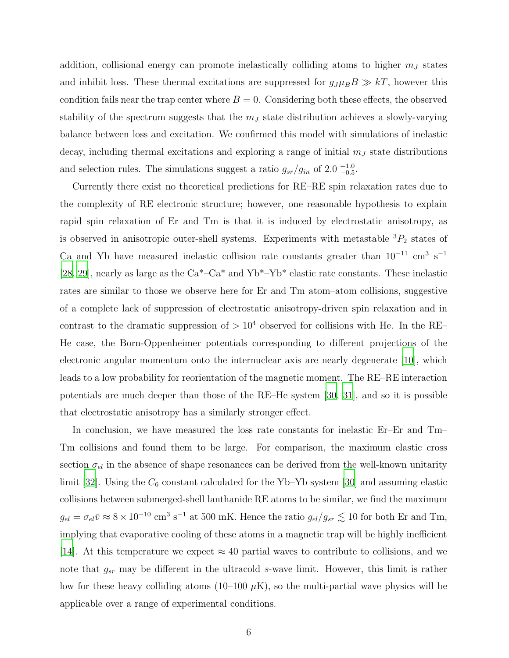addition, collisional energy can promote inelastically colliding atoms to higher  $m<sub>J</sub>$  states and inhibit loss. These thermal excitations are suppressed for  $g_J\mu_B B \gg kT$ , however this condition fails near the trap center where  $B = 0$ . Considering both these effects, the observed stability of the spectrum suggests that the  $m<sub>J</sub>$  state distribution achieves a slowly-varying balance between loss and excitation. We confirmed this model with simulations of inelastic decay, including thermal excitations and exploring a range of initial  $m<sub>J</sub>$  state distributions and selection rules. The simulations suggest a ratio  $g_{sr}/g_{in}$  of 2.0  $^{+1.0}_{-0.5}$ .

Currently there exist no theoretical predictions for RE–RE spin relaxation rates due to the complexity of RE electronic structure; however, one reasonable hypothesis to explain rapid spin relaxation of Er and Tm is that it is induced by electrostatic anisotropy, as is observed in anisotropic outer-shell systems. Experiments with metastable  ${}^{3}P_{2}$  states of Ca and Yb have measured inelastic collision rate constants greater than  $10^{-11}$  cm<sup>3</sup> s<sup>-1</sup> [\[28,](#page-7-10) [29](#page-7-11)], nearly as large as the Ca\*–Ca\* and Yb\*–Yb\* elastic rate constants. These inelastic rates are similar to those we observe here for Er and Tm atom–atom collisions, suggestive of a complete lack of suppression of electrostatic anisotropy-driven spin relaxation and in contrast to the dramatic suppression of  $> 10^4$  observed for collisions with He. In the RE– He case, the Born-Oppenheimer potentials corresponding to different projections of the electronic angular momentum onto the internuclear axis are nearly degenerate [\[10\]](#page-6-9), which leads to a low probability for reorientation of the magnetic moment. The RE–RE interaction potentials are much deeper than those of the RE–He system [\[30,](#page-7-12) [31](#page-7-13)], and so it is possible that electrostatic anisotropy has a similarly stronger effect.

In conclusion, we have measured the loss rate constants for inelastic Er–Er and Tm– Tm collisions and found them to be large. For comparison, the maximum elastic cross section  $\sigma_{el}$  in the absence of shape resonances can be derived from the well-known unitarity limit [\[32](#page-7-14)]. Using the  $C_6$  constant calculated for the Yb–Yb system [\[30\]](#page-7-12) and assuming elastic collisions between submerged-shell lanthanide RE atoms to be similar, we find the maximum  $g_{el} = \sigma_{el} \bar{v} \approx 8 \times 10^{-10}$  cm<sup>3</sup> s<sup>-1</sup> at 500 mK. Hence the ratio  $g_{el}/g_{sr} \lesssim 10$  for both Er and Tm, implying that evaporative cooling of these atoms in a magnetic trap will be highly inefficient [\[14\]](#page-6-13). At this temperature we expect  $\approx 40$  partial waves to contribute to collisions, and we note that  $g_{sr}$  may be different in the ultracold s-wave limit. However, this limit is rather low for these heavy colliding atoms  $(10-100 \mu K)$ , so the multi-partial wave physics will be applicable over a range of experimental conditions.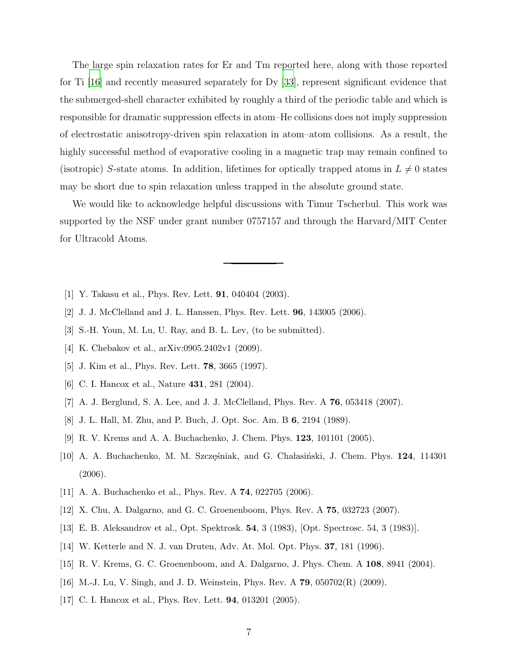The large spin relaxation rates for Er and Tm reported here, along with those reported for Ti [\[16](#page-6-15)] and recently measured separately for Dy [\[33\]](#page-7-15), represent significant evidence that the submerged-shell character exhibited by roughly a third of the periodic table and which is responsible for dramatic suppression effects in atom–He collisions does not imply suppression of electrostatic anisotropy-driven spin relaxation in atom–atom collisions. As a result, the highly successful method of evaporative cooling in a magnetic trap may remain confined to (isotropic) S-state atoms. In addition, lifetimes for optically trapped atoms in  $L \neq 0$  states may be short due to spin relaxation unless trapped in the absolute ground state.

We would like to acknowledge helpful discussions with Timur Tscherbul. This work was supported by the NSF under grant number 0757157 and through the Harvard/MIT Center for Ultracold Atoms.

- <span id="page-6-0"></span>[1] Y. Takasu et al., Phys. Rev. Lett. 91, 040404 (2003).
- <span id="page-6-1"></span>[2] J. J. McClelland and J. L. Hanssen, Phys. Rev. Lett. 96, 143005 (2006).
- <span id="page-6-3"></span><span id="page-6-2"></span>[3] S.-H. Youn, M. Lu, U. Ray, and B. L. Lev, (to be submitted).
- <span id="page-6-4"></span>[4] K. Chebakov et al., arXiv:0905.2402v1 (2009).
- [5] J. Kim et al., Phys. Rev. Lett. 78, 3665 (1997).
- <span id="page-6-6"></span><span id="page-6-5"></span>[6] C. I. Hancox et al., Nature **431**, 281 (2004).
- [7] A. J. Berglund, S. A. Lee, and J. J. McClelland, Phys. Rev. A 76, 053418 (2007).
- <span id="page-6-7"></span>[8] J. L. Hall, M. Zhu, and P. Buch, J. Opt. Soc. Am. B 6, 2194 (1989).
- <span id="page-6-8"></span>[9] R. V. Krems and A. A. Buchachenko, J. Chem. Phys. 123, 101101 (2005).
- <span id="page-6-9"></span>[10] A. A. Buchachenko, M. M. Szczęśniak, and G. Chałasiński, J. Chem. Phys. 124, 114301 (2006).
- <span id="page-6-10"></span>[11] A. A. Buchachenko et al., Phys. Rev. A 74, 022705 (2006).
- <span id="page-6-11"></span>[12] X. Chu, A. Dalgarno, and G. C. Groenenboom, Phys. Rev. A 75, 032723 (2007).
- <span id="page-6-12"></span>[13] E. B. Aleksandrov et al., Opt. Spektrosk. 54, 3 (1983), [Opt. Spectrosc. 54, 3 (1983)].
- <span id="page-6-13"></span>[14] W. Ketterle and N. J. van Druten, Adv. At. Mol. Opt. Phys. 37, 181 (1996).
- <span id="page-6-14"></span>[15] R. V. Krems, G. C. Groenenboom, and A. Dalgarno, J. Phys. Chem. A 108, 8941 (2004).
- <span id="page-6-15"></span>[16] M.-J. Lu, V. Singh, and J. D. Weinstein, Phys. Rev. A 79, 050702(R) (2009).
- <span id="page-6-16"></span>[17] C. I. Hancox et al., Phys. Rev. Lett. **94**, 013201 (2005).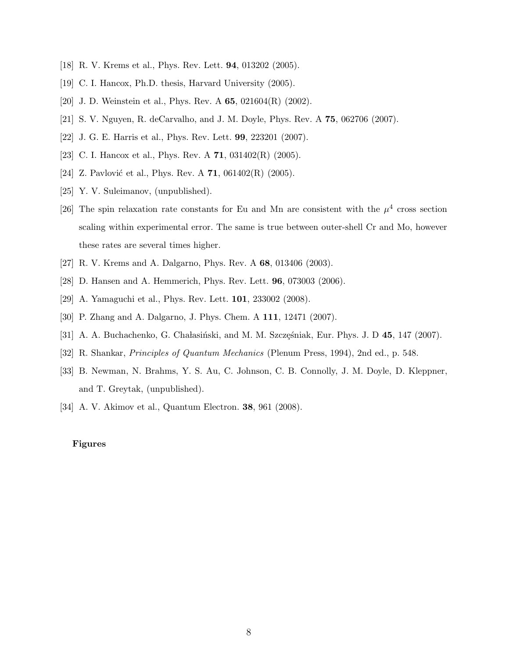- <span id="page-7-1"></span><span id="page-7-0"></span>[18] R. V. Krems et al., Phys. Rev. Lett. 94, 013202 (2005).
- <span id="page-7-2"></span>[19] C. I. Hancox, Ph.D. thesis, Harvard University (2005).
- <span id="page-7-3"></span>[20] J. D. Weinstein et al., Phys. Rev. A **65**, 021604(R) (2002).
- <span id="page-7-4"></span>[21] S. V. Nguyen, R. deCarvalho, and J. M. Doyle, Phys. Rev. A 75, 062706 (2007).
- <span id="page-7-5"></span>[22] J. G. E. Harris et al., Phys. Rev. Lett. 99, 223201 (2007).
- <span id="page-7-6"></span>[23] C. I. Hancox et al., Phys. Rev. A **71**, 031402(R) (2005).
- <span id="page-7-7"></span>[24] Z. Pavlović et al., Phys. Rev. A  $71$ , 061402(R) (2005).
- [25] Y. V. Suleimanov, (unpublished).
- <span id="page-7-8"></span>[26] The spin relaxation rate constants for Eu and Mn are consistent with the  $\mu^4$  cross section scaling within experimental error. The same is true between outer-shell Cr and Mo, however these rates are several times higher.
- <span id="page-7-10"></span><span id="page-7-9"></span>[27] R. V. Krems and A. Dalgarno, Phys. Rev. A 68, 013406 (2003).
- <span id="page-7-11"></span>[28] D. Hansen and A. Hemmerich, Phys. Rev. Lett. 96, 073003 (2006).
- <span id="page-7-12"></span>[29] A. Yamaguchi et al., Phys. Rev. Lett. 101, 233002 (2008).
- [30] P. Zhang and A. Dalgarno, J. Phys. Chem. A 111, 12471 (2007).
- <span id="page-7-13"></span>[31] A. A. Buchachenko, G. Chałasiński, and M. M. Szczęśniak, Eur. Phys. J. D 45, 147 (2007).
- <span id="page-7-14"></span>[32] R. Shankar, Principles of Quantum Mechanics (Plenum Press, 1994), 2nd ed., p. 548.
- <span id="page-7-15"></span>[33] B. Newman, N. Brahms, Y. S. Au, C. Johnson, C. B. Connolly, J. M. Doyle, D. Kleppner, and T. Greytak, (unpublished).
- <span id="page-7-16"></span>[34] A. V. Akimov et al., Quantum Electron. 38, 961 (2008).

## Figures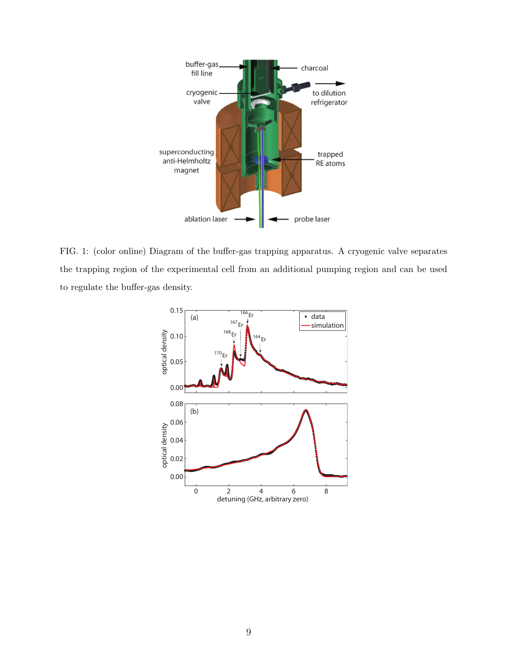

<span id="page-8-0"></span>FIG. 1: (color online) Diagram of the buffer-gas trapping apparatus. A cryogenic valve separates the trapping region of the experimental cell from an additional pumping region and can be used to regulate the buffer-gas density.